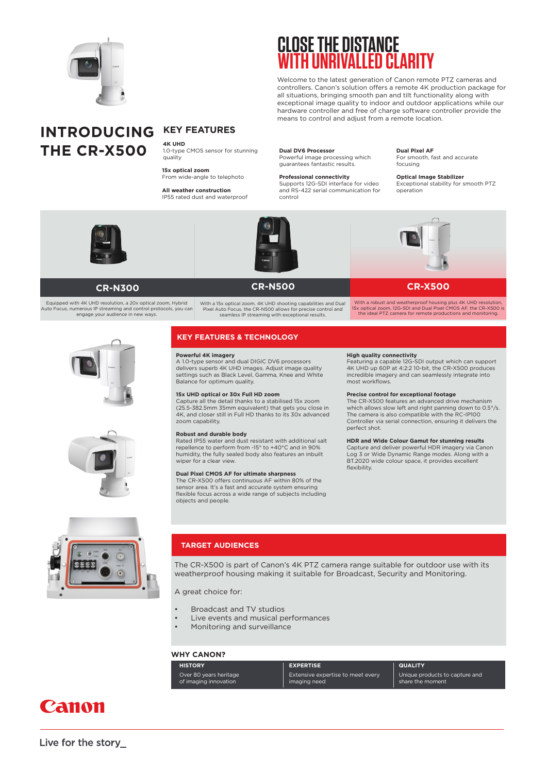

## **CLOSE THE DISTANCE WITH UNRIVALLED CLARITY**

Welcome to the latest generation of Canon remote PTZ cameras and controllers. Canon's solution offers a remote 4K production package for all situations, bringing smooth pan and tilt functionality along with exceptional image quality to indoor and outdoor applications while our hardware controller and free of charge software controller provide the means to control and adjust from a remote location.

## **INTRODUCING THE CR-X500**

## **KEY FEATURES**

**4K UHD**  1.0-type CMOS sensor for stunning quality

**15x optical zoom** From wide-angle to telephoto

**All weather construction** IP55 rated dust and waterproof **Dual DV6 Processor** Powerful image processing which guarantees fantastic results.

**Professional connectivity** Supports 12G-SDI interface for video and RS-422 serial communication for

### **Dual Pixel AF**

For smooth, fast and accurate focusing

**Optical Image Stabilizer** Exceptional stability for smooth PTZ operation





control

## **CR-N500**

With a robust and weatherproof housing plus 4K UHD resolution, 15x optical zoom, 12G-SDI and Dual Pixel CMOS AF, the CR-X500 is the ideal PTZ camera for remote productions and monitoring.

## **CR-X500**

## **CR-N300**

Equipped with 4K UHD resolution, a 20x optical zoom, Hybrid Auto Focus, numerous IP streaming and control protocols, you can engage your audience in new ways.





With a 15x optical zoom, 4K UHD shooting capabilities and Dual Pixel Auto Focus, the CR-N500 allows for precise control and seamless IP streaming with exceptional results.

## **KEY FEATURES & TECHNOLOGY**

## **Powerful 4K imagery**

A 1.0-type sensor and dual DIGIC DV6 processors delivers superb 4K UHD images. Adjust image quality settings such as Black Level, Gamma, Knee and White Balance for optimum quality.

## **15x UHD optical or 30x Full HD zoom**

Capture all the detail thanks to a stabilised 15x zoom (25.5-382.5mm 35mm equivalent) that gets you close in 4K, and closer still in Full HD thanks to its 30x advanced zoom capability.

### **Robust and durable body**

Rated IP55 water and dust resistant with additional salt repellence to perform from -15° to +40°C and in 90% humidity, the fully sealed body also features an inbuilt wiper for a clear view.

### **Dual Pixel CMOS AF for ultimate sharpness**

The CR-X500 offers continuous AF within 80% of the sensor area. It's a fast and accurate system ensuring flexible focus across a wide range of subjects including objects and people.

**High quality connectivity** Featuring a capable 12G-SDI output which can support 4K UHD up 60P at 4:2:2 10-bit, the CR-X500 produces incredible imagery and can seamlessly integrate into most workflows.

### **Precise control for exceptional footage**

The CR-X500 features an advanced drive mechanism which allows slow left and right panning down to 0.5°/s. The camera is also compatible with the RC-IP100 Controller via serial connection, ensuring it delivers the perfect shot.

### **HDR and Wide Colour Gamut for stunning results**

Capture and deliver powerful HDR imagery via Canon Log 3 or Wide Dynamic Range modes. Along with a BT.2020 wide colour space, it provides excellent flexibility.



## **TARGET AUDIENCES**

The CR-X500 is part of Canon's 4K PTZ camera range suitable for outdoor use with its weatherproof housing making it suitable for Broadcast, Security and Monitoring.

A great choice for:

- Broadcast and TV studios
- Live events and musical performances
- Monitoring and surveillance

## **WHY CANON?**

| <b>HISTORY</b>         | <b>EXPERTISE</b>                  | <b>QUALITY</b>                 |
|------------------------|-----------------------------------|--------------------------------|
| Over 80 years heritage | Extensive expertise to meet every | Unique products to capture and |
| of imaging innovation  | imaging need                      | share the moment               |

## Canon